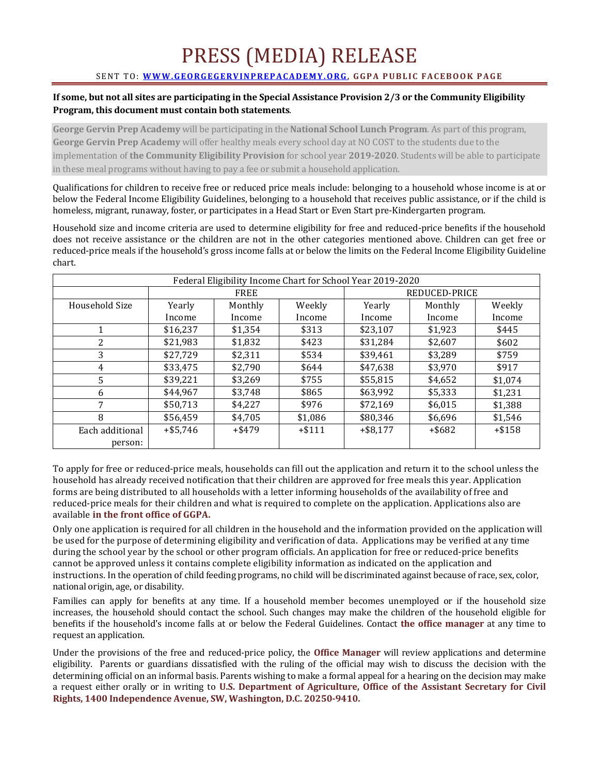## PRESS (MEDIA) RELEASE

## SENT TO: **WWW.GEORGEGERVINPREPACADEMY.ORG**, GGPA PUBLIC FACEBOOK PAGE

## **If some, but not all sites are participating in the Special Assistance Provision 2/3 or the Community Eligibility** Program, this document must contain both statements.

**George Gervin Prep Academy** will be participating in the **National School Lunch Program**. As part of this program, **George Gervin Prep Academy** will offer healthy meals every school day at NO COST to the students due to the implementation of **the Community Eligibility Provision** for school year 2019-2020. Students will be able to participate in these meal programs without having to pay a fee or submit a household application.

Qualifications for children to receive free or reduced price meals include: belonging to a household whose income is at or below the Federal Income Eligibility Guidelines, belonging to a household that receives public assistance, or if the child is homeless, migrant, runaway, foster, or participates in a Head Start or Even Start pre-Kindergarten program.

Household size and income criteria are used to determine eligibility for free and reduced-price benefits if the household does not receive assistance or the children are not in the other categories mentioned above. Children can get free or reduced-price meals if the household's gross income falls at or below the limits on the Federal Income Eligibility Guideline chart.

| Federal Eligibility Income Chart for School Year 2019-2020 |             |         |          |               |           |          |
|------------------------------------------------------------|-------------|---------|----------|---------------|-----------|----------|
|                                                            | <b>FREE</b> |         |          | REDUCED-PRICE |           |          |
| Household Size                                             | Yearly      | Monthly | Weekly   | Yearly        | Monthly   | Weekly   |
|                                                            | Income      | Income  | Income   | Income        | Income    | Income   |
|                                                            | \$16,237    | \$1,354 | \$313    | \$23,107      | \$1,923   | \$445    |
| 2                                                          | \$21,983    | \$1,832 | \$423    | \$31,284      | \$2,607   | \$602    |
| 3                                                          | \$27,729    | \$2,311 | \$534    | \$39,461      | \$3.289   | \$759    |
| 4                                                          | \$33,475    | \$2.790 | \$644    | \$47,638      | \$3,970   | \$917    |
| 5                                                          | \$39,221    | \$3.269 | \$755    | \$55,815      | \$4,652   | \$1,074  |
| 6                                                          | \$44.967    | \$3.748 | \$865    | \$63,992      | \$5,333   | \$1,231  |
| 7                                                          | \$50,713    | \$4,227 | \$976    | \$72,169      | \$6,015   | \$1,388  |
| 8                                                          | \$56,459    | \$4,705 | \$1,086  | \$80,346      | \$6,696   | \$1,546  |
| Each additional                                            | $+ $5,746$  | +\$479  | $+ $111$ | $+$ \$8,177   | $+$ \$682 | $+ $158$ |
| person:                                                    |             |         |          |               |           |          |

To apply for free or reduced-price meals, households can fill out the application and return it to the school unless the household has already received notification that their children are approved for free meals this year. Application forms are being distributed to all households with a letter informing households of the availability of free and reduced-price meals for their children and what is required to complete on the application. Applications also are available in the front office of GGPA.

Only one application is required for all children in the household and the information provided on the application will be used for the purpose of determining eligibility and verification of data. Applications may be verified at any time during the school year by the school or other program officials. An application for free or reduced-price benefits cannot be approved unless it contains complete eligibility information as indicated on the application and instructions. In the operation of child feeding programs, no child will be discriminated against because of race, sex, color, national origin, age, or disability.

Families can apply for benefits at any time. If a household member becomes unemployed or if the household size increases, the household should contact the school. Such changes may make the children of the household eligible for benefits if the household's income falls at or below the Federal Guidelines. Contact the office manager at any time to request an application.

Under the provisions of the free and reduced-price policy, the **Office Manager** will review applications and determine eligibility. Parents or guardians dissatisfied with the ruling of the official may wish to discuss the decision with the determining official on an informal basis. Parents wishing to make a formal appeal for a hearing on the decision may make a request either orally or in writing to U.S. Department of Agriculture, Office of the Assistant Secretary for Civil Rights, 1400 Independence Avenue, SW, Washington, D.C. 20250-9410.